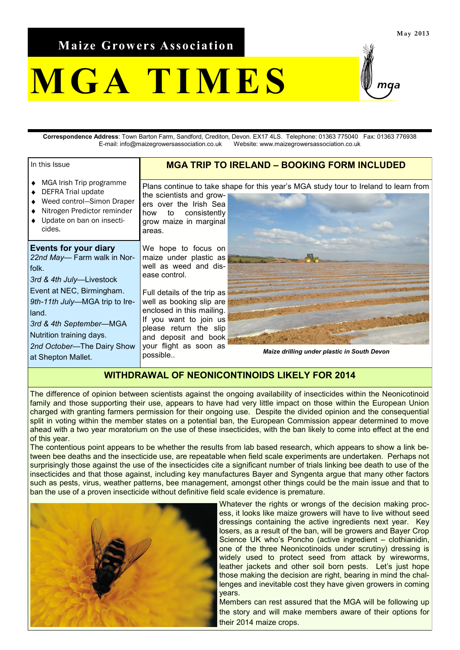**Maize Growers Association**

## **M G A T I M E S**

**Correspondence Address**: Town Barton Farm, Sandford, Crediton, Devon. EX17 4LS. Telephone: 01363 775040 Fax: 01363 776938 E-mail: info@maizegrowersassociation.co.uk Website: www.maizegrowersassociation.co.uk

| In this Issue                                                                                                                                                                   | <b>MGA TRIP TO IRELAND - BOOKING FORM INCLUDED</b>                                                                                                                                                     |                                                                                      |
|---------------------------------------------------------------------------------------------------------------------------------------------------------------------------------|--------------------------------------------------------------------------------------------------------------------------------------------------------------------------------------------------------|--------------------------------------------------------------------------------------|
| MGA Irish Trip programme<br>DEFRA Trial update<br>Weed control-Simon Draper<br>Nitrogen Predictor reminder<br>Update on ban on insecti-<br>cides.                               | the scientists and grow-<br>ers over the Irish Sea<br>to consistently<br>how<br>grow maize in marginal<br>areas.                                                                                       | Plans continue to take shape for this year's MGA study tour to Ireland to learn from |
| <b>Events for your diary</b><br>22nd May-Farm walk in Nor-<br>folk.<br>3rd & 4th July-Livestock                                                                                 | We hope to focus on<br>maize under plastic as<br>well as weed and dis-<br>ease control.                                                                                                                |                                                                                      |
| Event at NEC, Birmingham.<br>9th-11th July-MGA trip to Ire-<br>land.<br>3rd & 4th September-MGA<br>Nutrition training days.<br>2nd October-The Dairy Show<br>at Shepton Mallet. | Full details of the trip as<br>well as booking slip are<br>enclosed in this mailing.<br>If you want to join us<br>please return the slip<br>and deposit and book<br>your flight as soon as<br>possible | <b>Maize drilling under plastic in South Devon</b>                                   |

## **WITHDRAWAL OF NEONICONTINOIDS LIKELY FOR 2014**

The difference of opinion between scientists against the ongoing availability of insecticides within the Neonicotinoid family and those supporting their use, appears to have had very little impact on those within the European Union charged with granting farmers permission for their ongoing use. Despite the divided opinion and the consequential split in voting within the member states on a potential ban, the European Commission appear determined to move ahead with a two year moratorium on the use of these insecticides, with the ban likely to come into effect at the end of this year.

The contentious point appears to be whether the results from lab based research, which appears to show a link between bee deaths and the insecticide use, are repeatable when field scale experiments are undertaken. Perhaps not surprisingly those against the use of the insecticides cite a significant number of trials linking bee death to use of the insecticides and that those against, including key manufactures Bayer and Syngenta argue that many other factors such as pests, virus, weather patterns, bee management, amongst other things could be the main issue and that to ban the use of a proven insecticide without definitive field scale evidence is premature.



Whatever the rights or wrongs of the decision making process, it looks like maize growers will have to live without seed dressings containing the active ingredients next year. Key losers, as a result of the ban, will be growers and Bayer Crop Science UK who's Poncho (active ingredient – clothianidin, one of the three Neonicotinoids under scrutiny) dressing is widely used to protect seed from attack by wireworms, leather jackets and other soil born pests. Let's just hope those making the decision are right, bearing in mind the challenges and inevitable cost they have given growers in coming years.

Members can rest assured that the MGA will be following up the story and will make members aware of their options for their 2014 maize crops.